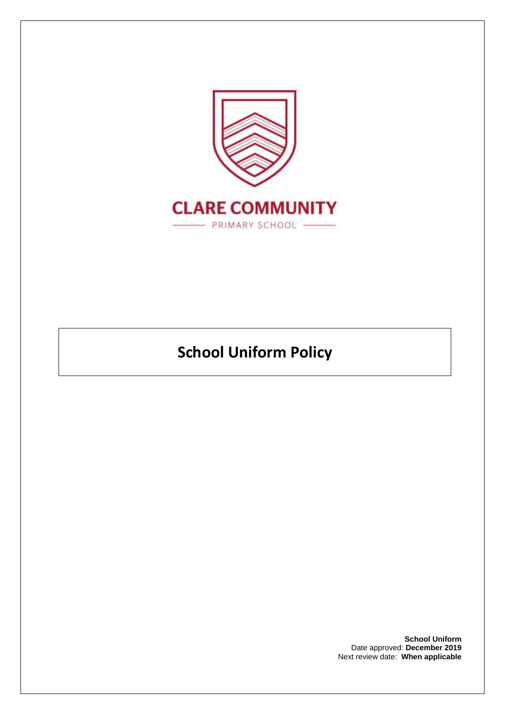

# **School Uniform Policy**

**School Uniform** Date approved: **December 2019** Next review date: **When applicable**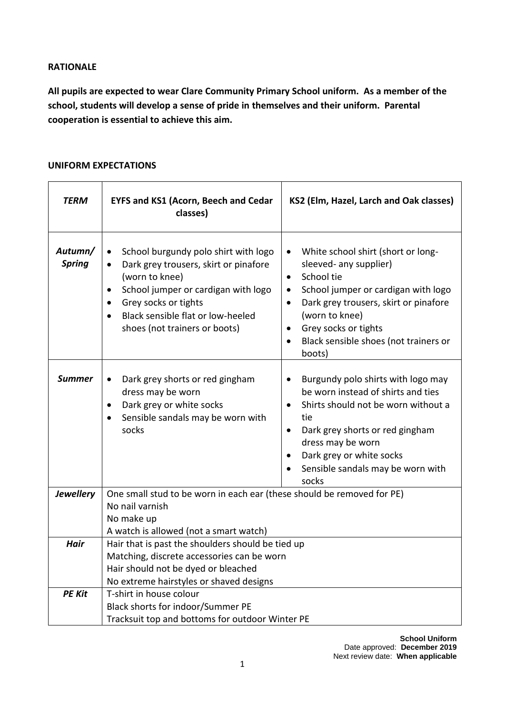#### **RATIONALE**

**All pupils are expected to wear Clare Community Primary School uniform. As a member of the school, students will develop a sense of pride in themselves and their uniform. Parental cooperation is essential to achieve this aim.**

## **UNIFORM EXPECTATIONS**

| TERM                     | <b>EYFS and KS1 (Acorn, Beech and Cedar</b><br>classes)                                                                                                                                                                                                                                               | KS2 (Elm, Hazel, Larch and Oak classes)                                                                                                                                                                                                                                                                                               |
|--------------------------|-------------------------------------------------------------------------------------------------------------------------------------------------------------------------------------------------------------------------------------------------------------------------------------------------------|---------------------------------------------------------------------------------------------------------------------------------------------------------------------------------------------------------------------------------------------------------------------------------------------------------------------------------------|
| Autumn/<br><b>Spring</b> | School burgundy polo shirt with logo<br>$\bullet$<br>Dark grey trousers, skirt or pinafore<br>$\bullet$<br>(worn to knee)<br>School jumper or cardigan with logo<br>$\bullet$<br>Grey socks or tights<br>$\bullet$<br>Black sensible flat or low-heeled<br>$\bullet$<br>shoes (not trainers or boots) | White school shirt (short or long-<br>$\bullet$<br>sleeved- any supplier)<br>School tie<br>$\bullet$<br>School jumper or cardigan with logo<br>$\bullet$<br>Dark grey trousers, skirt or pinafore<br>$\bullet$<br>(worn to knee)<br>Grey socks or tights<br>$\bullet$<br>Black sensible shoes (not trainers or<br>$\bullet$<br>boots) |
| <b>Summer</b>            | Dark grey shorts or red gingham<br>$\bullet$<br>dress may be worn<br>Dark grey or white socks<br>$\bullet$<br>Sensible sandals may be worn with<br>$\bullet$<br>socks                                                                                                                                 | Burgundy polo shirts with logo may<br>$\bullet$<br>be worn instead of shirts and ties<br>Shirts should not be worn without a<br>$\bullet$<br>tie<br>Dark grey shorts or red gingham<br>$\bullet$<br>dress may be worn<br>Dark grey or white socks<br>$\bullet$<br>Sensible sandals may be worn with<br>socks                          |
| <b>Jewellery</b>         | One small stud to be worn in each ear (these should be removed for PE)<br>No nail varnish                                                                                                                                                                                                             |                                                                                                                                                                                                                                                                                                                                       |
|                          | No make up<br>A watch is allowed (not a smart watch)                                                                                                                                                                                                                                                  |                                                                                                                                                                                                                                                                                                                                       |
| <b>Hair</b>              | Hair that is past the shoulders should be tied up<br>Matching, discrete accessories can be worn<br>Hair should not be dyed or bleached<br>No extreme hairstyles or shaved designs                                                                                                                     |                                                                                                                                                                                                                                                                                                                                       |
| <b>PE Kit</b>            | T-shirt in house colour<br>Black shorts for indoor/Summer PE<br>Tracksuit top and bottoms for outdoor Winter PE                                                                                                                                                                                       |                                                                                                                                                                                                                                                                                                                                       |